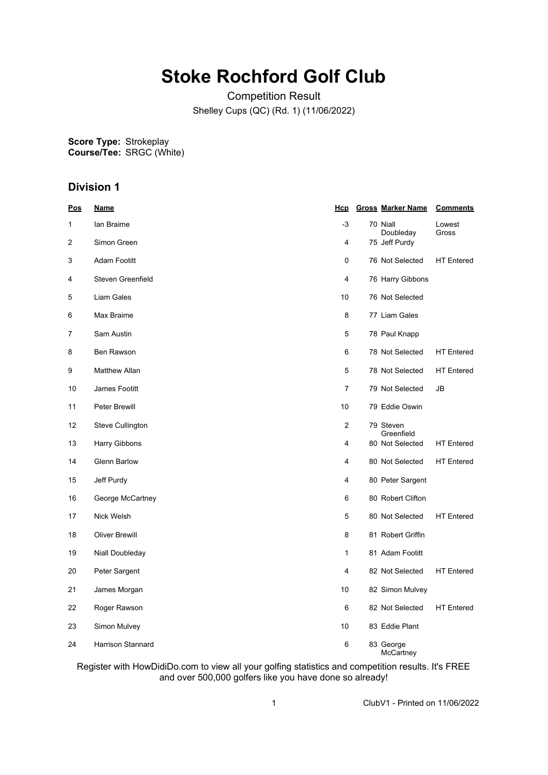## **Stoke Rochford Golf Club**

Competition Result Shelley Cups (QC) (Rd. 1) (11/06/2022)

**Score Type: Course/Tee:** Strokeplay SRGC (White)

## **Division 1**

| <u>Pos</u> | <u>Name</u>           | <u>Hcp</u>     |          | <b>Gross Marker Name</b> | <b>Comments</b>   |
|------------|-----------------------|----------------|----------|--------------------------|-------------------|
| 1          | lan Braime            | -3             | 70 Niall | Doubleday                | Lowest<br>Gross   |
| 2          | Simon Green           | 4              |          | 75 Jeff Purdy            |                   |
| 3          | Adam Footitt          | 0              |          | 76 Not Selected          | <b>HT Entered</b> |
| 4          | Steven Greenfield     | 4              |          | 76 Harry Gibbons         |                   |
| 5          | Liam Gales            | 10             |          | 76 Not Selected          |                   |
| 6          | Max Braime            | 8              |          | 77 Liam Gales            |                   |
| 7          | Sam Austin            | 5              |          | 78 Paul Knapp            |                   |
| 8          | Ben Rawson            | 6              |          | 78 Not Selected          | <b>HT</b> Entered |
| 9          | <b>Matthew Allan</b>  | 5              |          | 78 Not Selected          | <b>HT Entered</b> |
| 10         | James Footitt         | $\overline{7}$ |          | 79 Not Selected          | JB                |
| 11         | Peter Brewill         | 10             |          | 79 Eddie Oswin           |                   |
| 12         | Steve Cullington      | $\overline{2}$ |          | 79 Steven<br>Greenfield  |                   |
| 13         | Harry Gibbons         | 4              |          | 80 Not Selected          | <b>HT</b> Entered |
| 14         | <b>Glenn Barlow</b>   | 4              |          | 80 Not Selected          | <b>HT Entered</b> |
| 15         | Jeff Purdy            | 4              |          | 80 Peter Sargent         |                   |
| 16         | George McCartney      | 6              |          | 80 Robert Clifton        |                   |
| 17         | Nick Welsh            | 5              |          | 80 Not Selected          | <b>HT</b> Entered |
| 18         | <b>Oliver Brewill</b> | 8              |          | 81 Robert Griffin        |                   |
| 19         | Niall Doubleday       | 1              |          | 81 Adam Footitt          |                   |
| 20         | Peter Sargent         | 4              |          | 82 Not Selected          | <b>HT</b> Entered |
| 21         | James Morgan          | 10             |          | 82 Simon Mulvey          |                   |
| 22         | Roger Rawson          | 6              |          | 82 Not Selected          | <b>HT</b> Entered |
| 23         | Simon Mulvey          | 10             |          | 83 Eddie Plant           |                   |
| 24         | Harrison Stannard     | 6              |          | 83 George<br>McCartney   |                   |

Register with HowDidiDo.com to view all your golfing statistics and competition results. It's FREE and over 500,000 golfers like you have done so already!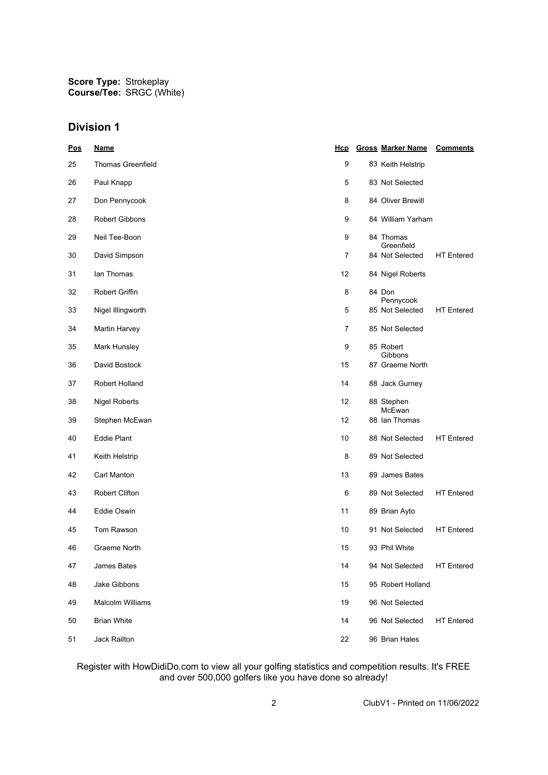**Score Type: Course/Tee:** Strokeplay SRGC (White)

## **Division 1**

| Pos | <u>Name</u>              | Hcp | <b>Gross Marker Name</b>     | <b>Comments</b>   |
|-----|--------------------------|-----|------------------------------|-------------------|
| 25  | <b>Thomas Greenfield</b> | 9   | 83 Keith Helstrip            |                   |
| 26  | Paul Knapp               | 5   | 83 Not Selected              |                   |
| 27  | Don Pennycook            | 8   | 84 Oliver Brewill            |                   |
| 28  | Robert Gibbons           | 9   | 84 William Yarham            |                   |
| 29  | Neil Tee-Boon            | 9   | 84 Thomas<br>Greenfield      |                   |
| 30  | David Simpson            | 7   | 84 Not Selected              | <b>HT</b> Entered |
| 31  | lan Thomas               | 12  | 84 Nigel Roberts             |                   |
| 32  | Robert Griffin           | 8   | 84 Don                       |                   |
| 33  | Nigel Illingworth        | 5   | Pennycook<br>85 Not Selected | <b>HT</b> Entered |
| 34  | Martin Harvey            | 7   | 85 Not Selected              |                   |
| 35  | Mark Hunsley             | 9   | 85 Robert                    |                   |
| 36  | David Bostock            | 15  | Gibbons<br>87 Graeme North   |                   |
| 37  | Robert Holland           | 14  | 88 Jack Gurney               |                   |
| 38  | <b>Nigel Roberts</b>     | 12  | 88 Stephen<br>McEwan         |                   |
| 39  | Stephen McEwan           | 12  | 88 Ian Thomas                |                   |
| 40  | Eddie Plant              | 10  | 88 Not Selected              | <b>HT</b> Entered |
| 41  | Keith Helstrip           | 8   | 89 Not Selected              |                   |
| 42  | Carl Manton              | 13  | 89 James Bates               |                   |
| 43  | <b>Robert Clifton</b>    | 6   | 89 Not Selected              | <b>HT</b> Entered |
| 44  | Eddie Oswin              | 11  | 89 Brian Ayto                |                   |
| 45  | Tom Rawson               | 10  | 91 Not Selected              | <b>HT</b> Entered |
| 46  | Graeme North             | 15  | 93 Phil White                |                   |
| 47  | James Bates              | 14  | 94 Not Selected              | <b>HT</b> Entered |
| 48  | Jake Gibbons             | 15  | 95 Robert Holland            |                   |
| 49  | <b>Malcolm Williams</b>  | 19  | 96 Not Selected              |                   |
| 50  | <b>Brian White</b>       | 14  | 96 Not Selected              | <b>HT</b> Entered |
| 51  | Jack Railton             | 22  | 96 Brian Hales               |                   |

Register with HowDidiDo.com to view all your golfing statistics and competition results. It's FREE and over 500,000 golfers like you have done so already!